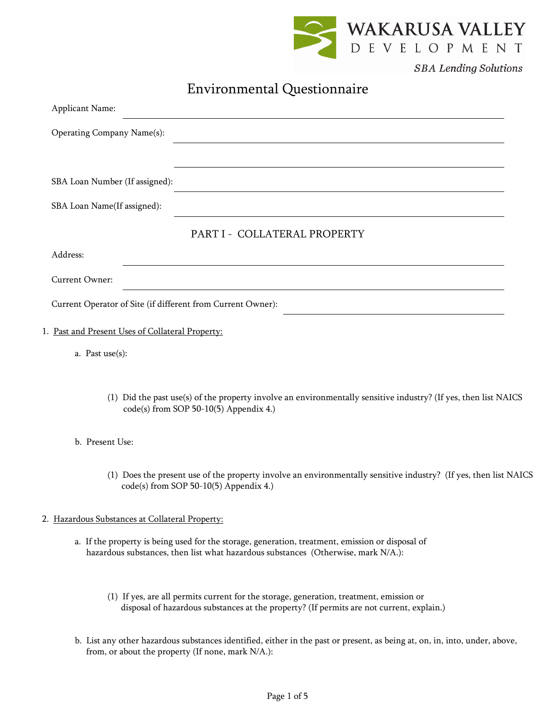

**SBA Lending Solutions** 

# Environmental Questionnaire

| <b>Applicant Name:</b>                                                                                                                                    |
|-----------------------------------------------------------------------------------------------------------------------------------------------------------|
| Operating Company Name(s):                                                                                                                                |
| and the control of the control of the control of the control of the control of the control of the control of the                                          |
| SBA Loan Number (If assigned):                                                                                                                            |
| SBA Loan Name(If assigned):<br><u> 1989 - Johann Stoff, deutscher Stoffen und der Stoffen und der Stoffen und der Stoffen und der Stoffen und der</u>     |
| PART I - COLLATERAL PROPERTY                                                                                                                              |
| Address:                                                                                                                                                  |
| Current Owner:                                                                                                                                            |
| Current Operator of Site (if different from Current Owner):                                                                                               |
| 1. Past and Present Uses of Collateral Property:                                                                                                          |
| a. Past use(s):                                                                                                                                           |
|                                                                                                                                                           |
| (1) Did the past use(s) of the property involve an environmentally sensitive industry? (If yes, then list NAICS<br>code(s) from SOP 50-10(5) Appendix 4.) |

b. Present Use:

(1) Does the present use of the property involve an environmentally sensitive industry? (If yes, then list NAICS code(s) from SOP 50-10(5) Appendix 4.)

### 2. Hazardous Substances at Collateral Property:

- a. If the property is being used for the storage, generation, treatment, emission or disposal of hazardous substances, then list what hazardous substances (Otherwise, mark N/A.):
	- (1) If yes, are all permits current for the storage, generation, treatment, emission or disposal of hazardous substances at the property? (If permits are not current, explain.)
- b. List any other hazardous substances identified, either in the past or present, as being at, on, in, into, under, above, from, or about the property (If none, mark N/A.):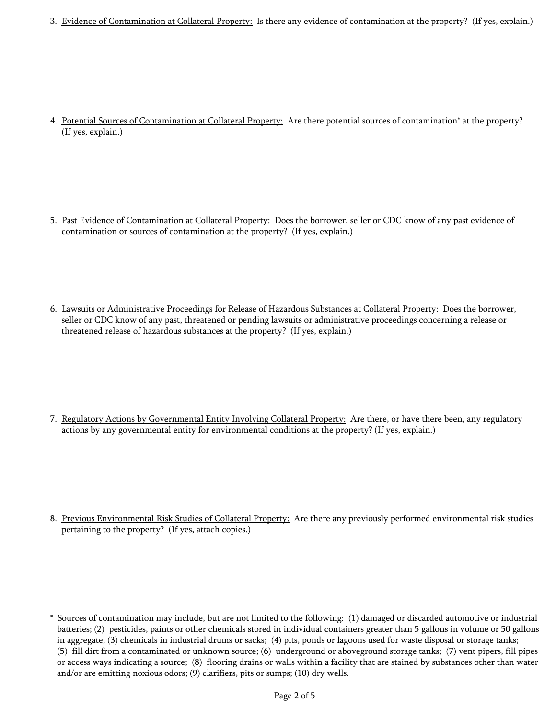3. Evidence of Contamination at Collateral Property: Is there any evidence of contamination at the property? (If yes, explain.)

4. Potential Sources of Contamination at Collateral Property: Are there potential sources of contamination\* at the property? (If yes, explain.)

- 5. Past Evidence of Contamination at Collateral Property: Does the borrower, seller or CDC know of any past evidence of contamination or sources of contamination at the property? (If yes, explain.)
- 6. Lawsuits or Administrative Proceedings for Release of Hazardous Substances at Collateral Property: Does the borrower, seller or CDC know of any past, threatened or pending lawsuits or administrative proceedings concerning a release or threatened release of hazardous substances at the property? (If yes, explain.)

7. Regulatory Actions by Governmental Entity Involving Collateral Property: Are there, or have there been, any regulatory actions by any governmental entity for environmental conditions at the property? (If yes, explain.)

8. Previous Environmental Risk Studies of Collateral Property: Are there any previously performed environmental risk studies pertaining to the property? (If yes, attach copies.)

<sup>\*</sup> Sources of contamination may include, but are not limited to the following: (1) damaged or discarded automotive or industrial batteries; (2) pesticides, paints or other chemicals stored in individual containers greater than 5 gallons in volume or 50 gallons in aggregate; (3) chemicals in industrial drums or sacks; (4) pits, ponds or lagoons used for waste disposal or storage tanks; (5) fill dirt from a contaminated or unknown source; (6) underground or aboveground storage tanks; (7) vent pipers, fill pipes or access ways indicating a source; (8) flooring drains or walls within a facility that are stained by substances other than water and/or are emitting noxious odors; (9) clarifiers, pits or sumps; (10) dry wells.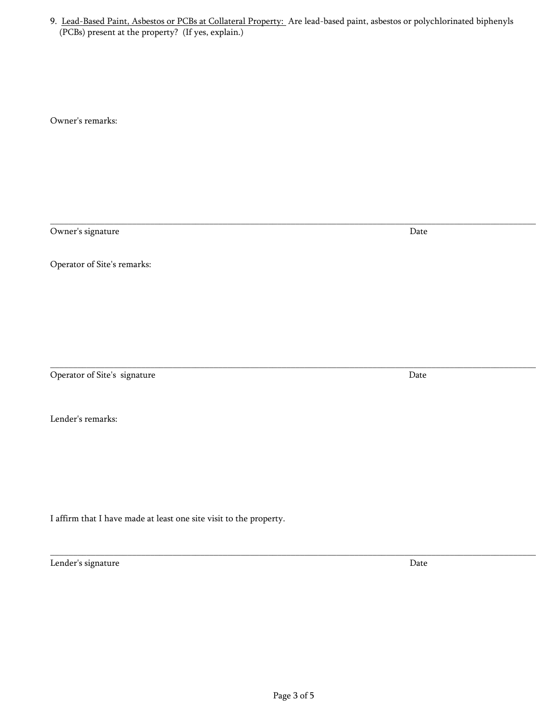\_\_\_\_\_\_\_\_\_\_\_\_\_\_\_\_\_\_\_\_\_\_\_\_\_\_\_\_\_\_\_\_\_\_\_\_\_\_\_\_\_\_\_\_\_\_\_\_\_\_\_\_\_\_\_\_\_\_\_\_\_\_\_\_\_\_\_\_\_\_\_\_\_\_\_\_\_\_\_\_\_\_\_\_\_\_\_\_\_\_\_\_\_\_\_\_\_\_\_\_\_\_\_\_\_\_\_

\_\_\_\_\_\_\_\_\_\_\_\_\_\_\_\_\_\_\_\_\_\_\_\_\_\_\_\_\_\_\_\_\_\_\_\_\_\_\_\_\_\_\_\_\_\_\_\_\_\_\_\_\_\_\_\_\_\_\_\_\_\_\_\_\_\_\_\_\_\_\_\_\_\_\_\_\_\_\_\_\_\_\_\_\_\_\_\_\_\_\_\_\_\_\_\_\_\_\_\_\_\_\_\_\_\_\_

Owner's remarks:

Owner's signature Date

Operator of Site's remarks:

Operator of Site's signature Date

Lender's remarks:

I affirm that I have made at least one site visit to the property.

Lender's signature Date

\_\_\_\_\_\_\_\_\_\_\_\_\_\_\_\_\_\_\_\_\_\_\_\_\_\_\_\_\_\_\_\_\_\_\_\_\_\_\_\_\_\_\_\_\_\_\_\_\_\_\_\_\_\_\_\_\_\_\_\_\_\_\_\_\_\_\_\_\_\_\_\_\_\_\_\_\_\_\_\_\_\_\_\_\_\_\_\_\_\_\_\_\_\_\_\_\_\_\_\_\_\_\_\_\_\_\_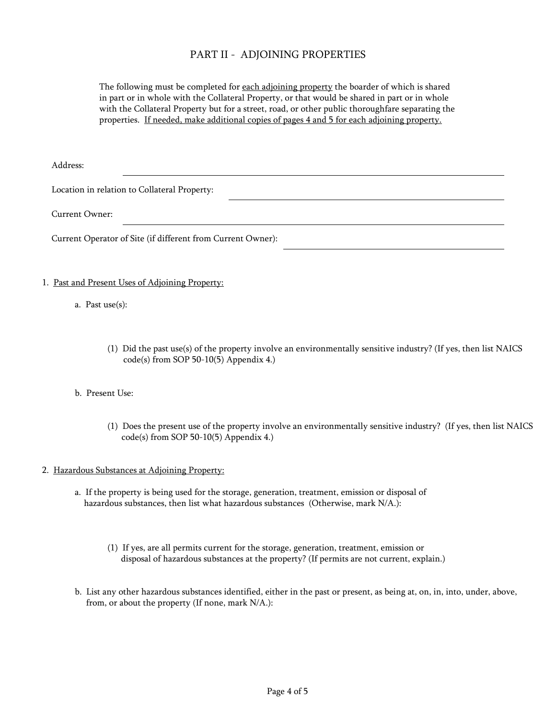## PART II - ADJOINING PROPERTIES

The following must be completed for each adjoining property the boarder of which is shared in part or in whole with the Collateral Property, or that would be shared in part or in whole with the Collateral Property but for a street, road, or other public thoroughfare separating the properties. If needed, make additional copies of pages 4 and 5 for each adjoining property.

Address:

Location in relation to Collateral Property:

Current Owner:

Current Operator of Site (if different from Current Owner):

#### 1. Past and Present Uses of Adjoining Property:

- a. Past use(s):
	- (1) Did the past use(s) of the property involve an environmentally sensitive industry? (If yes, then list NAICS code(s) from SOP 50-10(5) Appendix 4.)

#### b. Present Use:

(1) Does the present use of the property involve an environmentally sensitive industry? (If yes, then list NAICS code(s) from SOP 50-10(5) Appendix 4.)

#### 2. Hazardous Substances at Adjoining Property:

- a. If the property is being used for the storage, generation, treatment, emission or disposal of hazardous substances, then list what hazardous substances (Otherwise, mark N/A.):
	- (1) If yes, are all permits current for the storage, generation, treatment, emission or disposal of hazardous substances at the property? (If permits are not current, explain.)
- b. List any other hazardous substances identified, either in the past or present, as being at, on, in, into, under, above, from, or about the property (If none, mark N/A.):